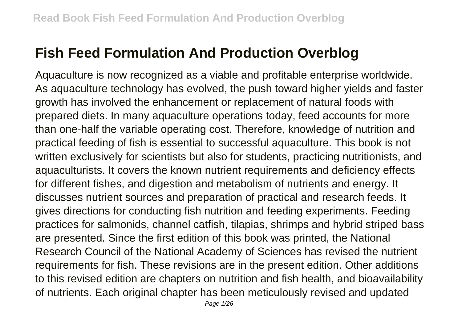## **Fish Feed Formulation And Production Overblog**

Aquaculture is now recognized as a viable and profitable enterprise worldwide. As aquaculture technology has evolved, the push toward higher yields and faster growth has involved the enhancement or replacement of natural foods with prepared diets. In many aquaculture operations today, feed accounts for more than one-half the variable operating cost. Therefore, knowledge of nutrition and practical feeding of fish is essential to successful aquaculture. This book is not written exclusively for scientists but also for students, practicing nutritionists, and aquaculturists. It covers the known nutrient requirements and deficiency effects for different fishes, and digestion and metabolism of nutrients and energy. It discusses nutrient sources and preparation of practical and research feeds. It gives directions for conducting fish nutrition and feeding experiments. Feeding practices for salmonids, channel catfish, tilapias, shrimps and hybrid striped bass are presented. Since the first edition of this book was printed, the National Research Council of the National Academy of Sciences has revised the nutrient requirements for fish. These revisions are in the present edition. Other additions to this revised edition are chapters on nutrition and fish health, and bioavailability of nutrients. Each original chapter has been meticulously revised and updated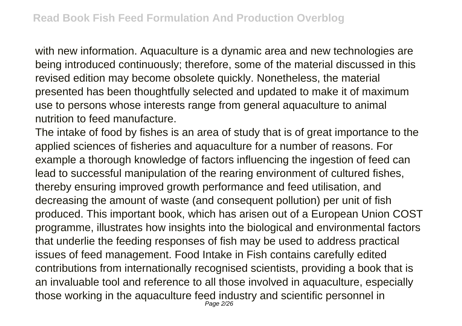with new information. Aquaculture is a dynamic area and new technologies are being introduced continuously; therefore, some of the material discussed in this revised edition may become obsolete quickly. Nonetheless, the material presented has been thoughtfully selected and updated to make it of maximum use to persons whose interests range from general aquaculture to animal nutrition to feed manufacture.

The intake of food by fishes is an area of study that is of great importance to the applied sciences of fisheries and aquaculture for a number of reasons. For example a thorough knowledge of factors influencing the ingestion of feed can lead to successful manipulation of the rearing environment of cultured fishes, thereby ensuring improved growth performance and feed utilisation, and decreasing the amount of waste (and consequent pollution) per unit of fish produced. This important book, which has arisen out of a European Union COST programme, illustrates how insights into the biological and environmental factors that underlie the feeding responses of fish may be used to address practical issues of feed management. Food Intake in Fish contains carefully edited contributions from internationally recognised scientists, providing a book that is an invaluable tool and reference to all those involved in aquaculture, especially those working in the aquaculture feed industry and scientific personnel in Page 2/26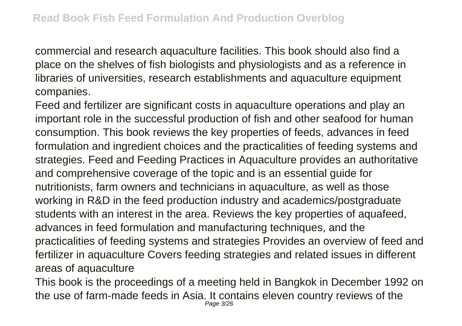commercial and research aquaculture facilities. This book should also find a place on the shelves of fish biologists and physiologists and as a reference in libraries of universities, research establishments and aquaculture equipment companies.

Feed and fertilizer are significant costs in aquaculture operations and play an important role in the successful production of fish and other seafood for human consumption. This book reviews the key properties of feeds, advances in feed formulation and ingredient choices and the practicalities of feeding systems and strategies. Feed and Feeding Practices in Aquaculture provides an authoritative and comprehensive coverage of the topic and is an essential guide for nutritionists, farm owners and technicians in aquaculture, as well as those working in R&D in the feed production industry and academics/postgraduate students with an interest in the area. Reviews the key properties of aquafeed, advances in feed formulation and manufacturing techniques, and the practicalities of feeding systems and strategies Provides an overview of feed and fertilizer in aquaculture Covers feeding strategies and related issues in different areas of aquaculture

This book is the proceedings of a meeting held in Bangkok in December 1992 on the use of farm-made feeds in Asia. It contains eleven country reviews of the Page 3/26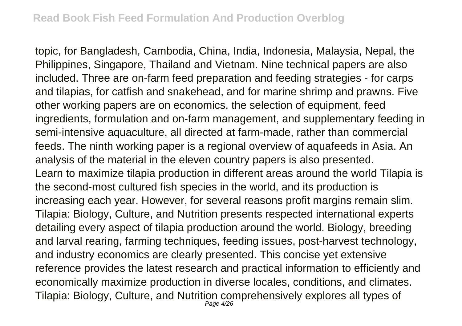topic, for Bangladesh, Cambodia, China, India, Indonesia, Malaysia, Nepal, the Philippines, Singapore, Thailand and Vietnam. Nine technical papers are also included. Three are on-farm feed preparation and feeding strategies - for carps and tilapias, for catfish and snakehead, and for marine shrimp and prawns. Five other working papers are on economics, the selection of equipment, feed ingredients, formulation and on-farm management, and supplementary feeding in semi-intensive aquaculture, all directed at farm-made, rather than commercial feeds. The ninth working paper is a regional overview of aquafeeds in Asia. An analysis of the material in the eleven country papers is also presented. Learn to maximize tilapia production in different areas around the world Tilapia is the second-most cultured fish species in the world, and its production is increasing each year. However, for several reasons profit margins remain slim. Tilapia: Biology, Culture, and Nutrition presents respected international experts detailing every aspect of tilapia production around the world. Biology, breeding and larval rearing, farming techniques, feeding issues, post-harvest technology, and industry economics are clearly presented. This concise yet extensive reference provides the latest research and practical information to efficiently and economically maximize production in diverse locales, conditions, and climates. Tilapia: Biology, Culture, and Nutrition comprehensively explores all types of Page  $4/26$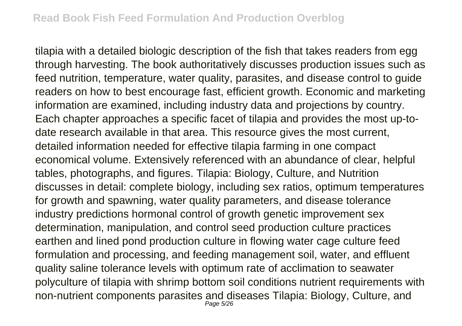tilapia with a detailed biologic description of the fish that takes readers from egg through harvesting. The book authoritatively discusses production issues such as feed nutrition, temperature, water quality, parasites, and disease control to guide readers on how to best encourage fast, efficient growth. Economic and marketing information are examined, including industry data and projections by country. Each chapter approaches a specific facet of tilapia and provides the most up-todate research available in that area. This resource gives the most current, detailed information needed for effective tilapia farming in one compact economical volume. Extensively referenced with an abundance of clear, helpful tables, photographs, and figures. Tilapia: Biology, Culture, and Nutrition discusses in detail: complete biology, including sex ratios, optimum temperatures for growth and spawning, water quality parameters, and disease tolerance industry predictions hormonal control of growth genetic improvement sex determination, manipulation, and control seed production culture practices earthen and lined pond production culture in flowing water cage culture feed formulation and processing, and feeding management soil, water, and effluent quality saline tolerance levels with optimum rate of acclimation to seawater polyculture of tilapia with shrimp bottom soil conditions nutrient requirements with non-nutrient components parasites and diseases Tilapia: Biology, Culture, and Page 5/26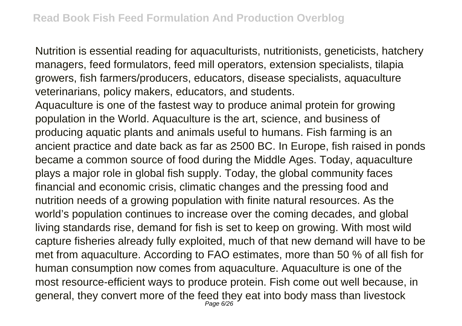Nutrition is essential reading for aquaculturists, nutritionists, geneticists, hatchery managers, feed formulators, feed mill operators, extension specialists, tilapia growers, fish farmers/producers, educators, disease specialists, aquaculture veterinarians, policy makers, educators, and students.

Aquaculture is one of the fastest way to produce animal protein for growing population in the World. Aquaculture is the art, science, and business of producing aquatic plants and animals useful to humans. Fish farming is an ancient practice and date back as far as 2500 BC. In Europe, fish raised in ponds became a common source of food during the Middle Ages. Today, aquaculture plays a major role in global fish supply. Today, the global community faces financial and economic crisis, climatic changes and the pressing food and nutrition needs of a growing population with finite natural resources. As the world's population continues to increase over the coming decades, and global living standards rise, demand for fish is set to keep on growing. With most wild capture fisheries already fully exploited, much of that new demand will have to be met from aquaculture. According to FAO estimates, more than 50 % of all fish for human consumption now comes from aquaculture. Aquaculture is one of the most resource-efficient ways to produce protein. Fish come out well because, in general, they convert more of the feed they eat into body mass than livestock Page 6/26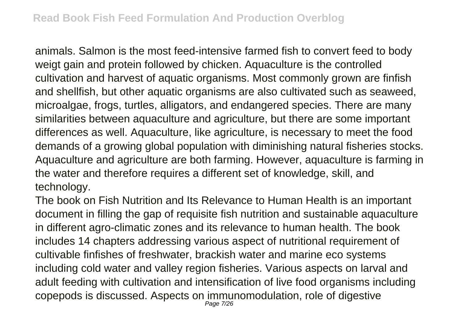animals. Salmon is the most feed-intensive farmed fish to convert feed to body weigt gain and protein followed by chicken. Aquaculture is the controlled cultivation and harvest of aquatic organisms. Most commonly grown are finfish and shellfish, but other aquatic organisms are also cultivated such as seaweed, microalgae, frogs, turtles, alligators, and endangered species. There are many similarities between aquaculture and agriculture, but there are some important differences as well. Aquaculture, like agriculture, is necessary to meet the food demands of a growing global population with diminishing natural fisheries stocks. Aquaculture and agriculture are both farming. However, aquaculture is farming in the water and therefore requires a different set of knowledge, skill, and technology.

The book on Fish Nutrition and Its Relevance to Human Health is an important document in filling the gap of requisite fish nutrition and sustainable aquaculture in different agro-climatic zones and its relevance to human health. The book includes 14 chapters addressing various aspect of nutritional requirement of cultivable finfishes of freshwater, brackish water and marine eco systems including cold water and valley region fisheries. Various aspects on larval and adult feeding with cultivation and intensification of live food organisms including copepods is discussed. Aspects on immunomodulation, role of digestive Page 7/26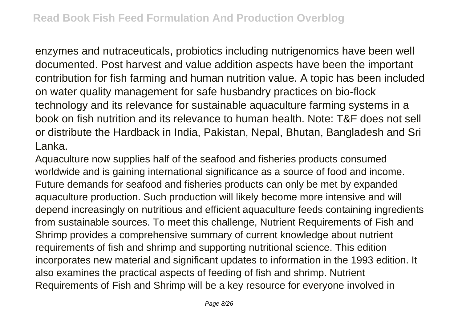enzymes and nutraceuticals, probiotics including nutrigenomics have been well documented. Post harvest and value addition aspects have been the important contribution for fish farming and human nutrition value. A topic has been included on water quality management for safe husbandry practices on bio-flock technology and its relevance for sustainable aquaculture farming systems in a book on fish nutrition and its relevance to human health. Note: T&F does not sell or distribute the Hardback in India, Pakistan, Nepal, Bhutan, Bangladesh and Sri Lanka.

Aquaculture now supplies half of the seafood and fisheries products consumed worldwide and is gaining international significance as a source of food and income. Future demands for seafood and fisheries products can only be met by expanded aquaculture production. Such production will likely become more intensive and will depend increasingly on nutritious and efficient aquaculture feeds containing ingredients from sustainable sources. To meet this challenge, Nutrient Requirements of Fish and Shrimp provides a comprehensive summary of current knowledge about nutrient requirements of fish and shrimp and supporting nutritional science. This edition incorporates new material and significant updates to information in the 1993 edition. It also examines the practical aspects of feeding of fish and shrimp. Nutrient Requirements of Fish and Shrimp will be a key resource for everyone involved in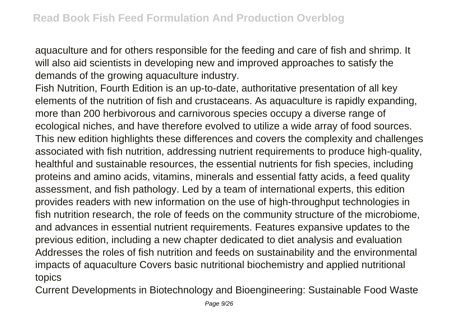aquaculture and for others responsible for the feeding and care of fish and shrimp. It will also aid scientists in developing new and improved approaches to satisfy the demands of the growing aquaculture industry.

Fish Nutrition, Fourth Edition is an up-to-date, authoritative presentation of all key elements of the nutrition of fish and crustaceans. As aquaculture is rapidly expanding, more than 200 herbivorous and carnivorous species occupy a diverse range of ecological niches, and have therefore evolved to utilize a wide array of food sources. This new edition highlights these differences and covers the complexity and challenges associated with fish nutrition, addressing nutrient requirements to produce high-quality, healthful and sustainable resources, the essential nutrients for fish species, including proteins and amino acids, vitamins, minerals and essential fatty acids, a feed quality assessment, and fish pathology. Led by a team of international experts, this edition provides readers with new information on the use of high-throughput technologies in fish nutrition research, the role of feeds on the community structure of the microbiome, and advances in essential nutrient requirements. Features expansive updates to the previous edition, including a new chapter dedicated to diet analysis and evaluation Addresses the roles of fish nutrition and feeds on sustainability and the environmental impacts of aquaculture Covers basic nutritional biochemistry and applied nutritional topics

Current Developments in Biotechnology and Bioengineering: Sustainable Food Waste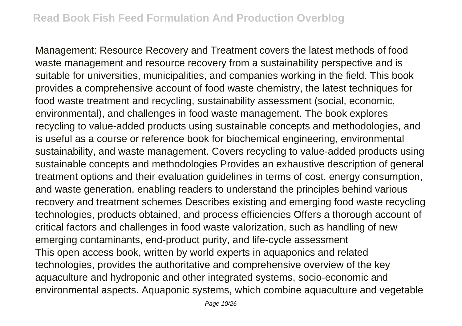Management: Resource Recovery and Treatment covers the latest methods of food waste management and resource recovery from a sustainability perspective and is suitable for universities, municipalities, and companies working in the field. This book provides a comprehensive account of food waste chemistry, the latest techniques for food waste treatment and recycling, sustainability assessment (social, economic, environmental), and challenges in food waste management. The book explores recycling to value-added products using sustainable concepts and methodologies, and is useful as a course or reference book for biochemical engineering, environmental sustainability, and waste management. Covers recycling to value-added products using sustainable concepts and methodologies Provides an exhaustive description of general treatment options and their evaluation guidelines in terms of cost, energy consumption, and waste generation, enabling readers to understand the principles behind various recovery and treatment schemes Describes existing and emerging food waste recycling technologies, products obtained, and process efficiencies Offers a thorough account of critical factors and challenges in food waste valorization, such as handling of new emerging contaminants, end-product purity, and life-cycle assessment This open access book, written by world experts in aquaponics and related technologies, provides the authoritative and comprehensive overview of the key aquaculture and hydroponic and other integrated systems, socio-economic and environmental aspects. Aquaponic systems, which combine aquaculture and vegetable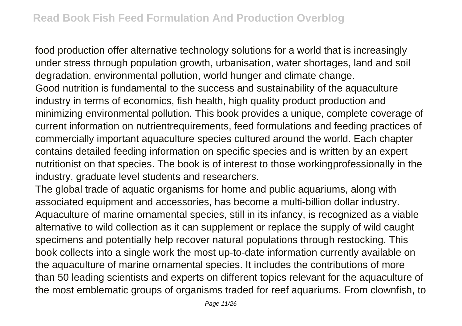food production offer alternative technology solutions for a world that is increasingly under stress through population growth, urbanisation, water shortages, land and soil degradation, environmental pollution, world hunger and climate change. Good nutrition is fundamental to the success and sustainability of the aquaculture industry in terms of economics, fish health, high quality product production and minimizing environmental pollution. This book provides a unique, complete coverage of current information on nutrientrequirements, feed formulations and feeding practices of commercially important aquaculture species cultured around the world. Each chapter contains detailed feeding information on specific species and is written by an expert nutritionist on that species. The book is of interest to those workingprofessionally in the industry, graduate level students and researchers.

The global trade of aquatic organisms for home and public aquariums, along with associated equipment and accessories, has become a multi-billion dollar industry. Aquaculture of marine ornamental species, still in its infancy, is recognized as a viable alternative to wild collection as it can supplement or replace the supply of wild caught specimens and potentially help recover natural populations through restocking. This book collects into a single work the most up-to-date information currently available on the aquaculture of marine ornamental species. It includes the contributions of more than 50 leading scientists and experts on different topics relevant for the aquaculture of the most emblematic groups of organisms traded for reef aquariums. From clownfish, to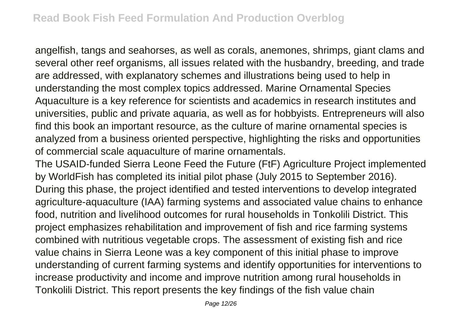angelfish, tangs and seahorses, as well as corals, anemones, shrimps, giant clams and several other reef organisms, all issues related with the husbandry, breeding, and trade are addressed, with explanatory schemes and illustrations being used to help in understanding the most complex topics addressed. Marine Ornamental Species Aquaculture is a key reference for scientists and academics in research institutes and universities, public and private aquaria, as well as for hobbyists. Entrepreneurs will also find this book an important resource, as the culture of marine ornamental species is analyzed from a business oriented perspective, highlighting the risks and opportunities of commercial scale aquaculture of marine ornamentals.

The USAID-funded Sierra Leone Feed the Future (FtF) Agriculture Project implemented by WorldFish has completed its initial pilot phase (July 2015 to September 2016). During this phase, the project identified and tested interventions to develop integrated agriculture-aquaculture (IAA) farming systems and associated value chains to enhance food, nutrition and livelihood outcomes for rural households in Tonkolili District. This project emphasizes rehabilitation and improvement of fish and rice farming systems combined with nutritious vegetable crops. The assessment of existing fish and rice value chains in Sierra Leone was a key component of this initial phase to improve understanding of current farming systems and identify opportunities for interventions to increase productivity and income and improve nutrition among rural households in Tonkolili District. This report presents the key findings of the fish value chain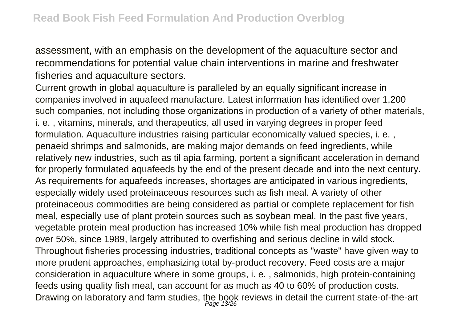assessment, with an emphasis on the development of the aquaculture sector and recommendations for potential value chain interventions in marine and freshwater fisheries and aquaculture sectors.

Current growth in global aquaculture is paralleled by an equally significant increase in companies involved in aquafeed manufacture. Latest information has identified over 1,200 such companies, not including those organizations in production of a variety of other materials, i. e. , vitamins, minerals, and therapeutics, all used in varying degrees in proper feed formulation. Aquaculture industries raising particular economically valued species, i. e. , penaeid shrimps and salmonids, are making major demands on feed ingredients, while relatively new industries, such as til apia farming, portent a significant acceleration in demand for properly formulated aquafeeds by the end of the present decade and into the next century. As requirements for aquafeeds increases, shortages are anticipated in various ingredients, especially widely used proteinaceous resources such as fish meal. A variety of other proteinaceous commodities are being considered as partial or complete replacement for fish meal, especially use of plant protein sources such as soybean meal. In the past five years, vegetable protein meal production has increased 10% while fish meal production has dropped over 50%, since 1989, largely attributed to overfishing and serious decline in wild stock. Throughout fisheries processing industries, traditional concepts as "waste" have given way to more prudent approaches, emphasizing total by-product recovery. Feed costs are a major consideration in aquaculture where in some groups, i. e. , salmonids, high protein-containing feeds using quality fish meal, can account for as much as 40 to 60% of production costs. Drawing on laboratory and farm studies, the book reviews in detail the current state-of-the-art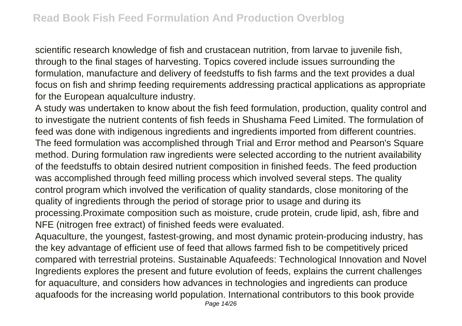scientific research knowledge of fish and crustacean nutrition, from larvae to juvenile fish, through to the final stages of harvesting. Topics covered include issues surrounding the formulation, manufacture and delivery of feedstuffs to fish farms and the text provides a dual focus on fish and shrimp feeding requirements addressing practical applications as appropriate for the European aqualculture industry.

A study was undertaken to know about the fish feed formulation, production, quality control and to investigate the nutrient contents of fish feeds in Shushama Feed Limited. The formulation of feed was done with indigenous ingredients and ingredients imported from different countries. The feed formulation was accomplished through Trial and Error method and Pearson's Square method. During formulation raw ingredients were selected according to the nutrient availability of the feedstuffs to obtain desired nutrient composition in finished feeds. The feed production was accomplished through feed milling process which involved several steps. The quality control program which involved the verification of quality standards, close monitoring of the quality of ingredients through the period of storage prior to usage and during its processing.Proximate composition such as moisture, crude protein, crude lipid, ash, fibre and NFE (nitrogen free extract) of finished feeds were evaluated.

Aquaculture, the youngest, fastest-growing, and most dynamic protein-producing industry, has the key advantage of efficient use of feed that allows farmed fish to be competitively priced compared with terrestrial proteins. Sustainable Aquafeeds: Technological Innovation and Novel Ingredients explores the present and future evolution of feeds, explains the current challenges for aquaculture, and considers how advances in technologies and ingredients can produce aquafoods for the increasing world population. International contributors to this book provide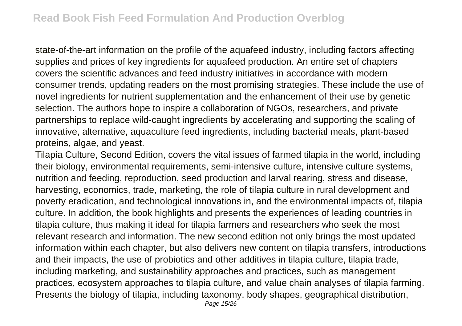state-of-the-art information on the profile of the aquafeed industry, including factors affecting supplies and prices of key ingredients for aquafeed production. An entire set of chapters covers the scientific advances and feed industry initiatives in accordance with modern consumer trends, updating readers on the most promising strategies. These include the use of novel ingredients for nutrient supplementation and the enhancement of their use by genetic selection. The authors hope to inspire a collaboration of NGOs, researchers, and private partnerships to replace wild-caught ingredients by accelerating and supporting the scaling of innovative, alternative, aquaculture feed ingredients, including bacterial meals, plant-based proteins, algae, and yeast.

Tilapia Culture, Second Edition, covers the vital issues of farmed tilapia in the world, including their biology, environmental requirements, semi-intensive culture, intensive culture systems, nutrition and feeding, reproduction, seed production and larval rearing, stress and disease, harvesting, economics, trade, marketing, the role of tilapia culture in rural development and poverty eradication, and technological innovations in, and the environmental impacts of, tilapia culture. In addition, the book highlights and presents the experiences of leading countries in tilapia culture, thus making it ideal for tilapia farmers and researchers who seek the most relevant research and information. The new second edition not only brings the most updated information within each chapter, but also delivers new content on tilapia transfers, introductions and their impacts, the use of probiotics and other additives in tilapia culture, tilapia trade, including marketing, and sustainability approaches and practices, such as management practices, ecosystem approaches to tilapia culture, and value chain analyses of tilapia farming. Presents the biology of tilapia, including taxonomy, body shapes, geographical distribution,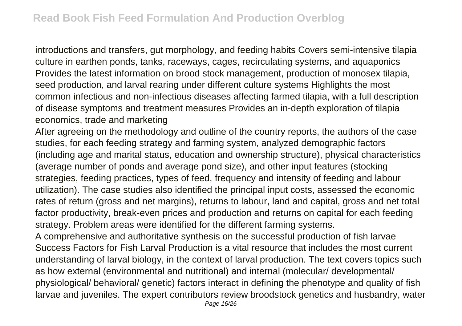introductions and transfers, gut morphology, and feeding habits Covers semi-intensive tilapia culture in earthen ponds, tanks, raceways, cages, recirculating systems, and aquaponics Provides the latest information on brood stock management, production of monosex tilapia, seed production, and larval rearing under different culture systems Highlights the most common infectious and non-infectious diseases affecting farmed tilapia, with a full description of disease symptoms and treatment measures Provides an in-depth exploration of tilapia economics, trade and marketing

After agreeing on the methodology and outline of the country reports, the authors of the case studies, for each feeding strategy and farming system, analyzed demographic factors (including age and marital status, education and ownership structure), physical characteristics (average number of ponds and average pond size), and other input features (stocking strategies, feeding practices, types of feed, frequency and intensity of feeding and labour utilization). The case studies also identified the principal input costs, assessed the economic rates of return (gross and net margins), returns to labour, land and capital, gross and net total factor productivity, break-even prices and production and returns on capital for each feeding strategy. Problem areas were identified for the different farming systems.

A comprehensive and authoritative synthesis on the successful production of fish larvae Success Factors for Fish Larval Production is a vital resource that includes the most current understanding of larval biology, in the context of larval production. The text covers topics such as how external (environmental and nutritional) and internal (molecular/ developmental/ physiological/ behavioral/ genetic) factors interact in defining the phenotype and quality of fish larvae and juveniles. The expert contributors review broodstock genetics and husbandry, water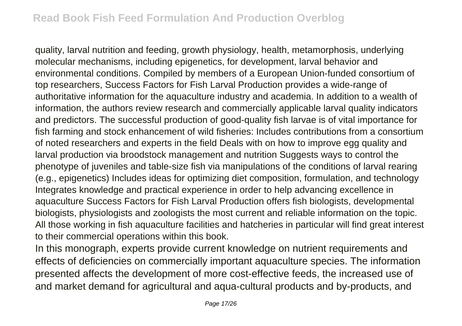quality, larval nutrition and feeding, growth physiology, health, metamorphosis, underlying molecular mechanisms, including epigenetics, for development, larval behavior and environmental conditions. Compiled by members of a European Union-funded consortium of top researchers, Success Factors for Fish Larval Production provides a wide-range of authoritative information for the aquaculture industry and academia. In addition to a wealth of information, the authors review research and commercially applicable larval quality indicators and predictors. The successful production of good-quality fish larvae is of vital importance for fish farming and stock enhancement of wild fisheries: Includes contributions from a consortium of noted researchers and experts in the field Deals with on how to improve egg quality and larval production via broodstock management and nutrition Suggests ways to control the phenotype of juveniles and table-size fish via manipulations of the conditions of larval rearing (e.g., epigenetics) Includes ideas for optimizing diet composition, formulation, and technology Integrates knowledge and practical experience in order to help advancing excellence in aquaculture Success Factors for Fish Larval Production offers fish biologists, developmental biologists, physiologists and zoologists the most current and reliable information on the topic. All those working in fish aquaculture facilities and hatcheries in particular will find great interest to their commercial operations within this book.

In this monograph, experts provide current knowledge on nutrient requirements and effects of deficiencies on commercially important aquaculture species. The information presented affects the development of more cost-effective feeds, the increased use of and market demand for agricultural and aqua-cultural products and by-products, and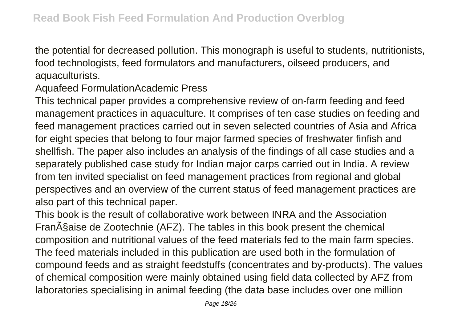the potential for decreased pollution. This monograph is useful to students, nutritionists, food technologists, feed formulators and manufacturers, oilseed producers, and aquaculturists.

Aquafeed FormulationAcademic Press

This technical paper provides a comprehensive review of on-farm feeding and feed management practices in aquaculture. It comprises of ten case studies on feeding and feed management practices carried out in seven selected countries of Asia and Africa for eight species that belong to four major farmed species of freshwater finfish and shellfish. The paper also includes an analysis of the findings of all case studies and a separately published case study for Indian major carps carried out in India. A review from ten invited specialist on feed management practices from regional and global perspectives and an overview of the current status of feed management practices are also part of this technical paper.

This book is the result of collaborative work between INRA and the Association Fran§aise de Zootechnie (AFZ). The tables in this book present the chemical composition and nutritional values of the feed materials fed to the main farm species. The feed materials included in this publication are used both in the formulation of compound feeds and as straight feedstuffs (concentrates and by-products). The values of chemical composition were mainly obtained using field data collected by AFZ from laboratories specialising in animal feeding (the data base includes over one million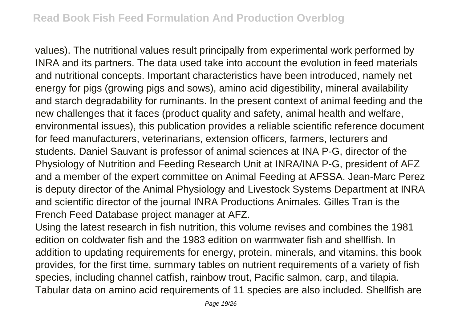values). The nutritional values result principally from experimental work performed by INRA and its partners. The data used take into account the evolution in feed materials and nutritional concepts. Important characteristics have been introduced, namely net energy for pigs (growing pigs and sows), amino acid digestibility, mineral availability and starch degradability for ruminants. In the present context of animal feeding and the new challenges that it faces (product quality and safety, animal health and welfare, environmental issues), this publication provides a reliable scientific reference document for feed manufacturers, veterinarians, extension officers, farmers, lecturers and students. Daniel Sauvant is professor of animal sciences at INA P-G, director of the Physiology of Nutrition and Feeding Research Unit at INRA/INA P-G, president of AFZ and a member of the expert committee on Animal Feeding at AFSSA. Jean-Marc Perez is deputy director of the Animal Physiology and Livestock Systems Department at INRA and scientific director of the journal INRA Productions Animales. Gilles Tran is the French Feed Database project manager at AFZ.

Using the latest research in fish nutrition, this volume revises and combines the 1981 edition on coldwater fish and the 1983 edition on warmwater fish and shellfish. In addition to updating requirements for energy, protein, minerals, and vitamins, this book provides, for the first time, summary tables on nutrient requirements of a variety of fish species, including channel catfish, rainbow trout, Pacific salmon, carp, and tilapia. Tabular data on amino acid requirements of 11 species are also included. Shellfish are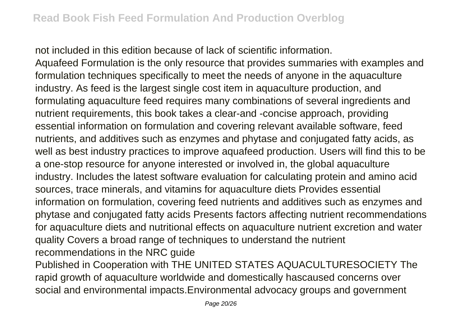not included in this edition because of lack of scientific information.

Aquafeed Formulation is the only resource that provides summaries with examples and formulation techniques specifically to meet the needs of anyone in the aquaculture industry. As feed is the largest single cost item in aquaculture production, and formulating aquaculture feed requires many combinations of several ingredients and nutrient requirements, this book takes a clear-and -concise approach, providing essential information on formulation and covering relevant available software, feed nutrients, and additives such as enzymes and phytase and conjugated fatty acids, as well as best industry practices to improve aquafeed production. Users will find this to be a one-stop resource for anyone interested or involved in, the global aquaculture industry. Includes the latest software evaluation for calculating protein and amino acid sources, trace minerals, and vitamins for aquaculture diets Provides essential information on formulation, covering feed nutrients and additives such as enzymes and phytase and conjugated fatty acids Presents factors affecting nutrient recommendations for aquaculture diets and nutritional effects on aquaculture nutrient excretion and water quality Covers a broad range of techniques to understand the nutrient recommendations in the NRC guide

Published in Cooperation with THE UNITED STATES AQUACULTURESOCIETY The rapid growth of aquaculture worldwide and domestically hascaused concerns over social and environmental impacts.Environmental advocacy groups and government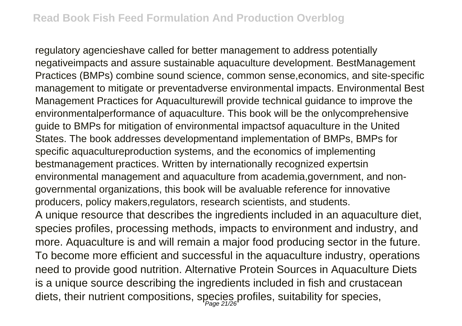regulatory agencieshave called for better management to address potentially negativeimpacts and assure sustainable aquaculture development. BestManagement Practices (BMPs) combine sound science, common sense,economics, and site-specific management to mitigate or preventadverse environmental impacts. Environmental Best Management Practices for Aquaculturewill provide technical guidance to improve the environmentalperformance of aquaculture. This book will be the onlycomprehensive guide to BMPs for mitigation of environmental impactsof aquaculture in the United States. The book addresses developmentand implementation of BMPs, BMPs for specific aquacultureproduction systems, and the economics of implementing bestmanagement practices. Written by internationally recognized expertsin environmental management and aquaculture from academia,government, and nongovernmental organizations, this book will be avaluable reference for innovative producers, policy makers,regulators, research scientists, and students. A unique resource that describes the ingredients included in an aquaculture diet, species profiles, processing methods, impacts to environment and industry, and more. Aquaculture is and will remain a major food producing sector in the future. To become more efficient and successful in the aquaculture industry, operations need to provide good nutrition. Alternative Protein Sources in Aquaculture Diets is a unique source describing the ingredients included in fish and crustacean diets, their nutrient compositions, species profiles, suitability for species,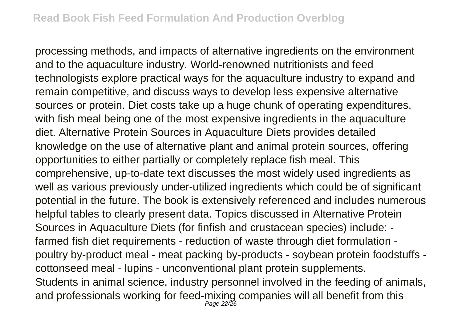processing methods, and impacts of alternative ingredients on the environment and to the aquaculture industry. World-renowned nutritionists and feed technologists explore practical ways for the aquaculture industry to expand and remain competitive, and discuss ways to develop less expensive alternative sources or protein. Diet costs take up a huge chunk of operating expenditures, with fish meal being one of the most expensive ingredients in the aquaculture diet. Alternative Protein Sources in Aquaculture Diets provides detailed knowledge on the use of alternative plant and animal protein sources, offering opportunities to either partially or completely replace fish meal. This comprehensive, up-to-date text discusses the most widely used ingredients as well as various previously under-utilized ingredients which could be of significant potential in the future. The book is extensively referenced and includes numerous helpful tables to clearly present data. Topics discussed in Alternative Protein Sources in Aquaculture Diets (for finfish and crustacean species) include: farmed fish diet requirements - reduction of waste through diet formulation poultry by-product meal - meat packing by-products - soybean protein foodstuffs cottonseed meal - lupins - unconventional plant protein supplements. Students in animal science, industry personnel involved in the feeding of animals, and professionals working for feed-mixing companies will all benefit from this Page 22/26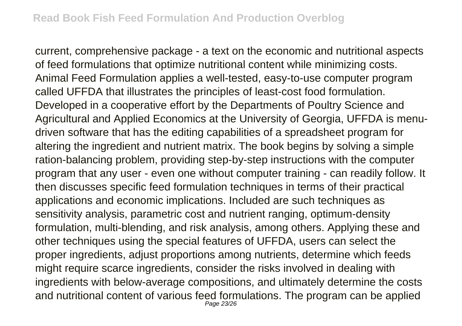current, comprehensive package - a text on the economic and nutritional aspects of feed formulations that optimize nutritional content while minimizing costs. Animal Feed Formulation applies a well-tested, easy-to-use computer program called UFFDA that illustrates the principles of least-cost food formulation. Developed in a cooperative effort by the Departments of Poultry Science and Agricultural and Applied Economics at the University of Georgia, UFFDA is menudriven software that has the editing capabilities of a spreadsheet program for altering the ingredient and nutrient matrix. The book begins by solving a simple ration-balancing problem, providing step-by-step instructions with the computer program that any user - even one without computer training - can readily follow. It then discusses specific feed formulation techniques in terms of their practical applications and economic implications. Included are such techniques as sensitivity analysis, parametric cost and nutrient ranging, optimum-density formulation, multi-blending, and risk analysis, among others. Applying these and other techniques using the special features of UFFDA, users can select the proper ingredients, adjust proportions among nutrients, determine which feeds might require scarce ingredients, consider the risks involved in dealing with ingredients with below-average compositions, and ultimately determine the costs and nutritional content of various feed formulations. The program can be applied Page 23/26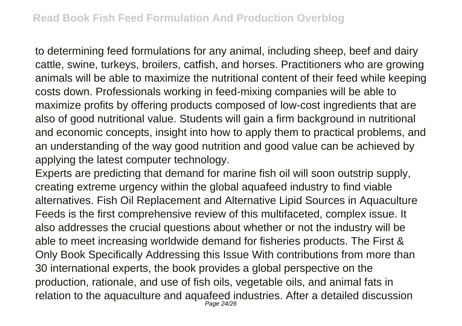to determining feed formulations for any animal, including sheep, beef and dairy cattle, swine, turkeys, broilers, catfish, and horses. Practitioners who are growing animals will be able to maximize the nutritional content of their feed while keeping costs down. Professionals working in feed-mixing companies will be able to maximize profits by offering products composed of low-cost ingredients that are also of good nutritional value. Students will gain a firm background in nutritional and economic concepts, insight into how to apply them to practical problems, and an understanding of the way good nutrition and good value can be achieved by applying the latest computer technology.

Experts are predicting that demand for marine fish oil will soon outstrip supply, creating extreme urgency within the global aquafeed industry to find viable alternatives. Fish Oil Replacement and Alternative Lipid Sources in Aquaculture Feeds is the first comprehensive review of this multifaceted, complex issue. It also addresses the crucial questions about whether or not the industry will be able to meet increasing worldwide demand for fisheries products. The First & Only Book Specifically Addressing this Issue With contributions from more than 30 international experts, the book provides a global perspective on the production, rationale, and use of fish oils, vegetable oils, and animal fats in relation to the aquaculture and aquafeed industries. After a detailed discussion Page 24/26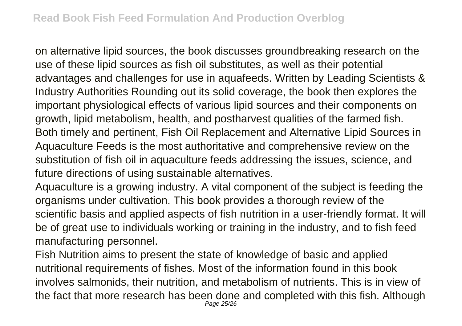on alternative lipid sources, the book discusses groundbreaking research on the use of these lipid sources as fish oil substitutes, as well as their potential advantages and challenges for use in aquafeeds. Written by Leading Scientists & Industry Authorities Rounding out its solid coverage, the book then explores the important physiological effects of various lipid sources and their components on growth, lipid metabolism, health, and postharvest qualities of the farmed fish. Both timely and pertinent, Fish Oil Replacement and Alternative Lipid Sources in Aquaculture Feeds is the most authoritative and comprehensive review on the substitution of fish oil in aquaculture feeds addressing the issues, science, and future directions of using sustainable alternatives.

Aquaculture is a growing industry. A vital component of the subject is feeding the organisms under cultivation. This book provides a thorough review of the scientific basis and applied aspects of fish nutrition in a user-friendly format. It will be of great use to individuals working or training in the industry, and to fish feed manufacturing personnel.

Fish Nutrition aims to present the state of knowledge of basic and applied nutritional requirements of fishes. Most of the information found in this book involves salmonids, their nutrition, and metabolism of nutrients. This is in view of the fact that more research has been done and completed with this fish. Although Page 25/26